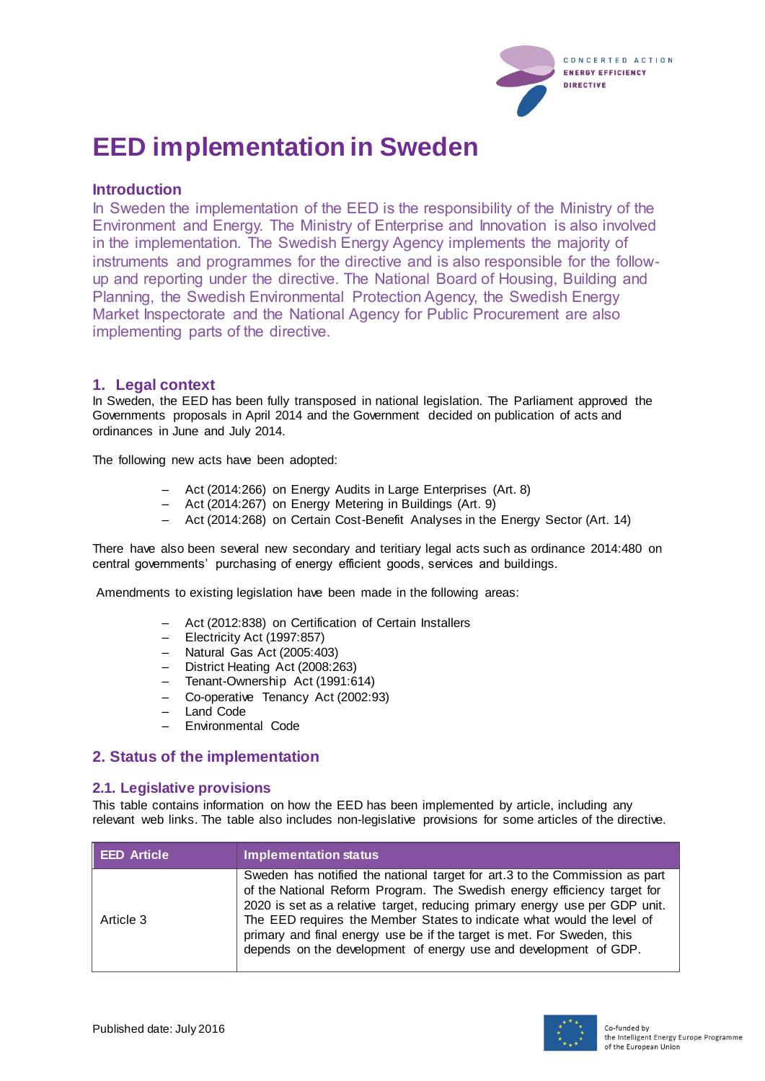

# **EED implementation in Sweden**

## **Introduction**

In Sweden the implementation of the EED is the responsibility of the Ministry of the Environment and Energy. The Ministry of Enterprise and Innovation is also involved in the implementation. The Swedish Energy Agency implements the majority of instruments and programmes for the directive and is also responsible for the followup and reporting under the directive. The National Board of Housing, Building and Planning, the Swedish Environmental Protection Agency, the Swedish Energy Market Inspectorate and the National Agency for Public Procurement are also implementing parts of the directive.

#### **1. Legal context**

In Sweden, the EED has been fully transposed in national legislation. The Parliament approved the Governments proposals in April 2014 and the Government decided on publication of acts and ordinances in June and July 2014.

The following new acts have been adopted:

- Act (2014:266) on Energy Audits in Large Enterprises (Art. 8)
- Act (2014:267) on Energy Metering in Buildings (Art. 9)
- Act (2014:268) on Certain Cost-Benefit Analyses in the Energy Sector (Art. 14)

There have also been several new secondary and teritiary legal acts such as ordinance 2014:480 on central governments' purchasing of energy efficient goods, services and buildings.

Amendments to existing legislation have been made in the following areas:

- Act (2012:838) on Certification of Certain Installers
- Electricity Act (1997:857)
- Natural Gas Act (2005:403)
- District Heating Act (2008:263)
- Tenant-Ownership Act (1991:614)
- Co-operative Tenancy Act (2002:93)
- Land Code
- Environmental Code

## **2. Status of the implementation**

#### **2.1. Legislative provisions**

This table contains information on how the EED has been implemented by article, including any relevant web links. The table also includes non-legislative provisions for some articles of the directive.

| <b>EED Article</b> | <b>Implementation status</b>                                                                                                                                                                                                                                                                                                                                                                                                                                   |
|--------------------|----------------------------------------------------------------------------------------------------------------------------------------------------------------------------------------------------------------------------------------------------------------------------------------------------------------------------------------------------------------------------------------------------------------------------------------------------------------|
| Article 3          | Sweden has notified the national target for art.3 to the Commission as part<br>of the National Reform Program. The Swedish energy efficiency target for<br>2020 is set as a relative target, reducing primary energy use per GDP unit.<br>The EED requires the Member States to indicate what would the level of<br>primary and final energy use be if the target is met. For Sweden, this<br>depends on the development of energy use and development of GDP. |

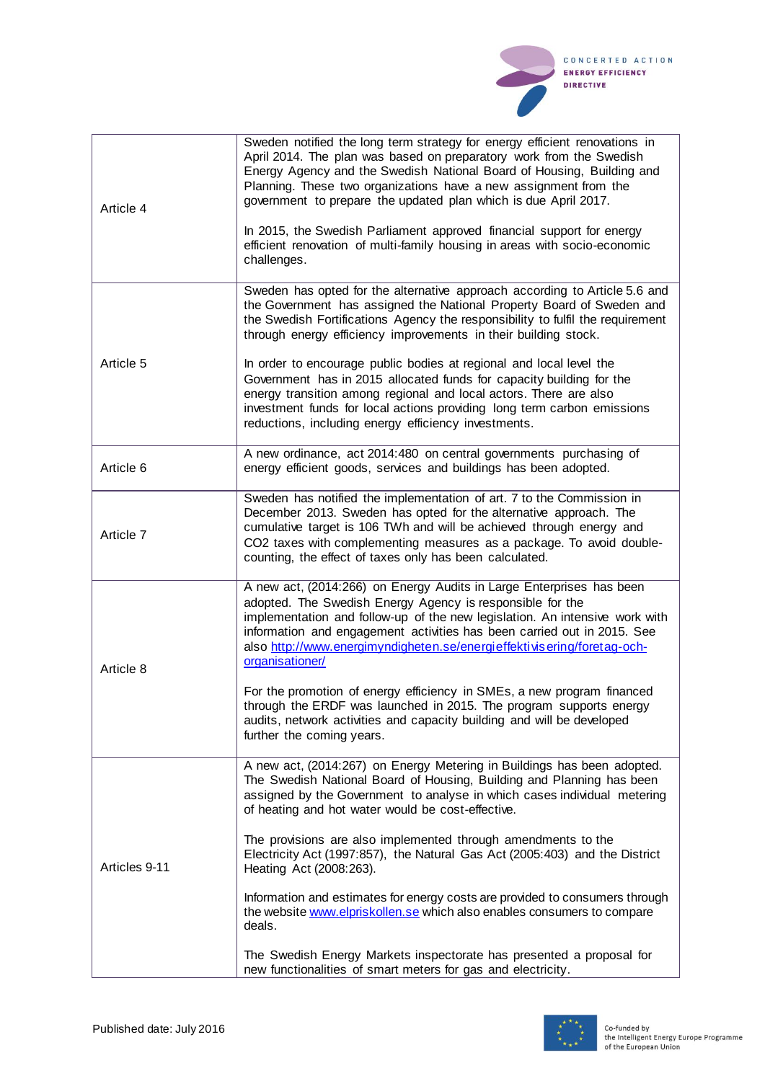

| Article 4     | Sweden notified the long term strategy for energy efficient renovations in<br>April 2014. The plan was based on preparatory work from the Swedish<br>Energy Agency and the Swedish National Board of Housing, Building and<br>Planning. These two organizations have a new assignment from the<br>government to prepare the updated plan which is due April 2017.<br>In 2015, the Swedish Parliament approved financial support for energy<br>efficient renovation of multi-family housing in areas with socio-economic<br>challenges.                                                                                                                          |
|---------------|-----------------------------------------------------------------------------------------------------------------------------------------------------------------------------------------------------------------------------------------------------------------------------------------------------------------------------------------------------------------------------------------------------------------------------------------------------------------------------------------------------------------------------------------------------------------------------------------------------------------------------------------------------------------|
| Article 5     | Sweden has opted for the alternative approach according to Article 5.6 and<br>the Government has assigned the National Property Board of Sweden and<br>the Swedish Fortifications Agency the responsibility to fulfil the requirement<br>through energy efficiency improvements in their building stock.<br>In order to encourage public bodies at regional and local level the<br>Government has in 2015 allocated funds for capacity building for the<br>energy transition among regional and local actors. There are also<br>investment funds for local actions providing long term carbon emissions<br>reductions, including energy efficiency investments. |
| Article 6     | A new ordinance, act 2014:480 on central governments purchasing of<br>energy efficient goods, services and buildings has been adopted.                                                                                                                                                                                                                                                                                                                                                                                                                                                                                                                          |
| Article 7     | Sweden has notified the implementation of art. 7 to the Commission in<br>December 2013. Sweden has opted for the alternative approach. The<br>cumulative target is 106 TWh and will be achieved through energy and<br>CO2 taxes with complementing measures as a package. To avoid double-<br>counting, the effect of taxes only has been calculated.                                                                                                                                                                                                                                                                                                           |
| Article 8     | A new act, (2014:266) on Energy Audits in Large Enterprises has been<br>adopted. The Swedish Energy Agency is responsible for the<br>implementation and follow-up of the new legislation. An intensive work with<br>information and engagement activities has been carried out in 2015. See<br>also http://www.energimyndigheten.se/energieffektivisering/foretag-och-<br>organisationer/<br>For the promotion of energy efficiency in SMEs, a new program financed                                                                                                                                                                                             |
|               | through the ERDF was launched in 2015. The program supports energy<br>audits, network activities and capacity building and will be developed<br>further the coming years.                                                                                                                                                                                                                                                                                                                                                                                                                                                                                       |
| Articles 9-11 | A new act, (2014:267) on Energy Metering in Buildings has been adopted.<br>The Swedish National Board of Housing, Building and Planning has been<br>assigned by the Government to analyse in which cases individual metering<br>of heating and hot water would be cost-effective.                                                                                                                                                                                                                                                                                                                                                                               |
|               | The provisions are also implemented through amendments to the<br>Electricity Act (1997:857), the Natural Gas Act (2005:403) and the District<br>Heating Act (2008:263).                                                                                                                                                                                                                                                                                                                                                                                                                                                                                         |
|               | Information and estimates for energy costs are provided to consumers through<br>the website www.elpriskollen.se which also enables consumers to compare<br>deals.                                                                                                                                                                                                                                                                                                                                                                                                                                                                                               |
|               | The Swedish Energy Markets inspectorate has presented a proposal for<br>new functionalities of smart meters for gas and electricity.                                                                                                                                                                                                                                                                                                                                                                                                                                                                                                                            |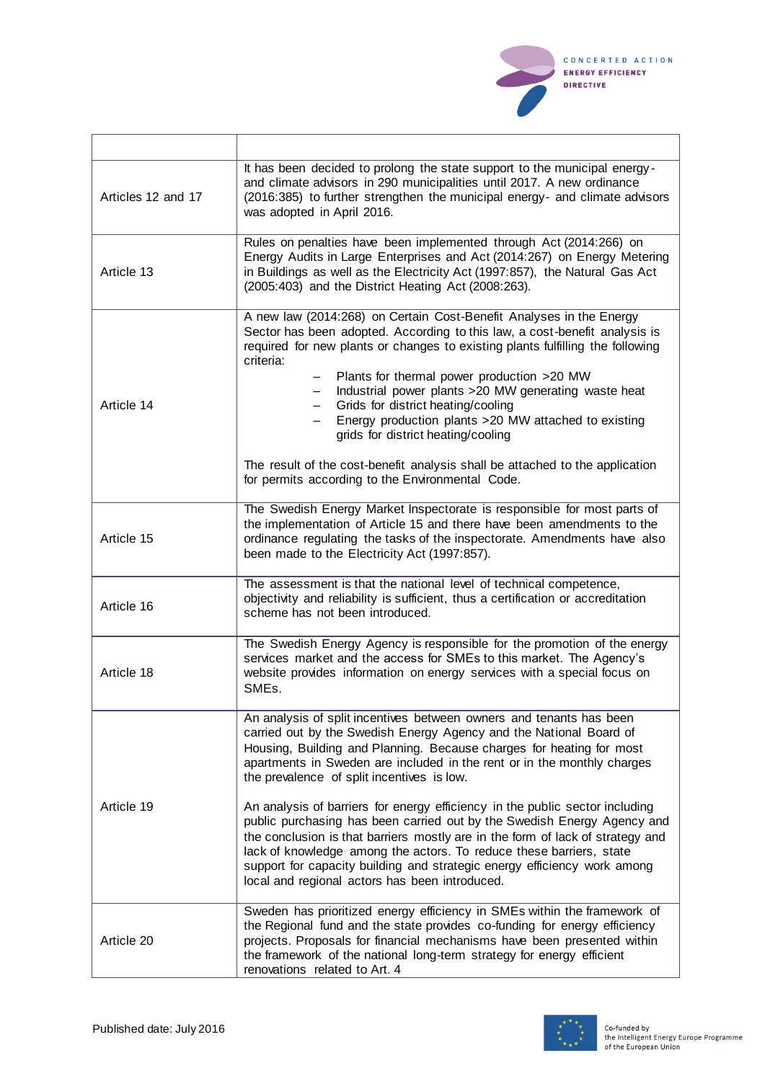

| Articles 12 and 17 | It has been decided to prolong the state support to the municipal energy-<br>and climate advisors in 290 municipalities until 2017. A new ordinance<br>(2016:385) to further strengthen the municipal energy- and climate advisors<br>was adopted in April 2016.                                                                                                                                                                                                                                                                                                                                                               |
|--------------------|--------------------------------------------------------------------------------------------------------------------------------------------------------------------------------------------------------------------------------------------------------------------------------------------------------------------------------------------------------------------------------------------------------------------------------------------------------------------------------------------------------------------------------------------------------------------------------------------------------------------------------|
| Article 13         | Rules on penalties have been implemented through Act (2014:266) on<br>Energy Audits in Large Enterprises and Act (2014:267) on Energy Metering<br>in Buildings as well as the Electricity Act (1997:857), the Natural Gas Act<br>(2005:403) and the District Heating Act (2008:263).                                                                                                                                                                                                                                                                                                                                           |
| Article 14         | A new law (2014:268) on Certain Cost-Benefit Analyses in the Energy<br>Sector has been adopted. According to this law, a cost-benefit analysis is<br>required for new plants or changes to existing plants fulfilling the following<br>criteria:<br>Plants for thermal power production >20 MW<br>Industrial power plants >20 MW generating waste heat<br>Grids for district heating/cooling<br>Energy production plants >20 MW attached to existing<br>grids for district heating/cooling<br>The result of the cost-benefit analysis shall be attached to the application<br>for permits according to the Environmental Code. |
| Article 15         | The Swedish Energy Market Inspectorate is responsible for most parts of<br>the implementation of Article 15 and there have been amendments to the<br>ordinance regulating the tasks of the inspectorate. Amendments have also<br>been made to the Electricity Act (1997:857).                                                                                                                                                                                                                                                                                                                                                  |
| Article 16         | The assessment is that the national level of technical competence,<br>objectivity and reliability is sufficient, thus a certification or accreditation<br>scheme has not been introduced.                                                                                                                                                                                                                                                                                                                                                                                                                                      |
| Article 18         | The Swedish Energy Agency is responsible for the promotion of the energy<br>services market and the access for SMEs to this market. The Agency's<br>website provides information on energy services with a special focus on<br>SME <sub>s</sub> .                                                                                                                                                                                                                                                                                                                                                                              |
| Article 19         | An analysis of split incentives between owners and tenants has been<br>carried out by the Swedish Energy Agency and the National Board of<br>Housing, Building and Planning. Because charges for heating for most<br>apartments in Sweden are included in the rent or in the monthly charges<br>the prevalence of split incentives is low.<br>An analysis of barriers for energy efficiency in the public sector including                                                                                                                                                                                                     |
|                    | public purchasing has been carried out by the Swedish Energy Agency and<br>the conclusion is that barriers mostly are in the form of lack of strategy and<br>lack of knowledge among the actors. To reduce these barriers, state<br>support for capacity building and strategic energy efficiency work among<br>local and regional actors has been introduced.                                                                                                                                                                                                                                                                 |
| Article 20         | Sweden has prioritized energy efficiency in SMEs within the framework of<br>the Regional fund and the state provides co-funding for energy efficiency<br>projects. Proposals for financial mechanisms have been presented within<br>the framework of the national long-term strategy for energy efficient<br>renovations related to Art. 4                                                                                                                                                                                                                                                                                     |